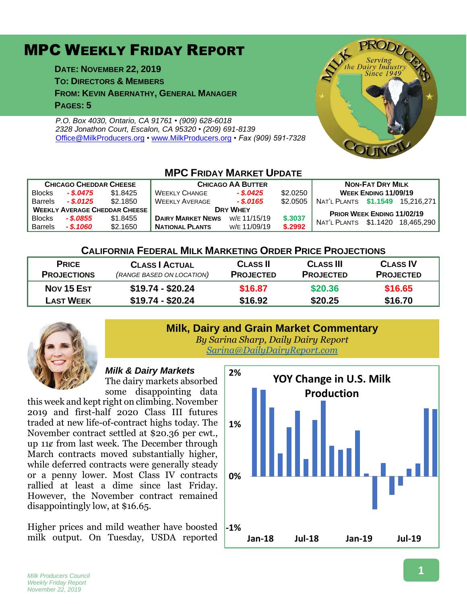# MPC WEEKLY FRIDAY REPORT

**DATE: NOVEMBER 22, 2019 TO: DIRECTORS & MEMBERS FROM: KEVIN ABERNATHY, GENERAL MANAGER PAGES: 5**

*P.O. Box 4030, Ontario, CA 91761 • (909) 628-6018 2328 Jonathon Court, Escalon, CA 95320 • (209) 691-8139* [Office@MilkProducers.org](mailto:office@milkproducers.org) *•* [www.MilkProducers.org](http://www.milkproducers.org/) *• Fax (909) 591-7328*



#### **MPC FRIDAY MARKET UPDATE CHICAGO CHEDDAR CHEESE CHICAGO AA BUTTER NON-FAT DRY MILK** Blocks *- \$.0475* \$1.8425 WEEKLY CHANGE *- \$.0425* \$2.0250 **WEEK ENDING 11/09/19** Barrels *- \$.0125* \$2.1850 WEEKLY AVERAGE *- \$.0165* \$2.0505 NAT'L PLANTS **\$1.1549** 15,216,271 **<sup>W</sup>EEKLY AVERAGE CHEDDAR CHEESE <sup>D</sup>RY WHEY <sup>P</sup>RIOR WEEK ENDING 11/02/19** BIOCKS - \$.0833 \$1.8455 | DAIRY MARKET NEWS W/E 11/15/19 \$.3037 | NAT'L PLANTS \$1.1420 18,465,290 **NATIONAL PLANTS**

## **CALIFORNIA FEDERAL MILK MARKETING ORDER PRICE PROJECTIONS**

| <b>PRICE</b>       | <b>CLASS   ACTUAL</b>     | <b>CLASS II</b>  | <b>CLASS III</b> | <b>CLASS IV</b>  |
|--------------------|---------------------------|------------------|------------------|------------------|
| <b>PROJECTIONS</b> | (RANGE BASED ON LOCATION) | <b>PROJECTED</b> | <b>PROJECTED</b> | <b>PROJECTED</b> |
| Nov 15 Est         | $$19.74 - $20.24$         | \$16.87          | \$20.36          | \$16.65          |
| <b>LAST WEEK</b>   | $$19.74 - $20.24$         | \$16.92          | \$20.25          | \$16.70          |
|                    |                           |                  |                  |                  |



### **Milk, Dairy and Grain Market Commentary** *By Sarina Sharp, Daily Dairy Report*

*[Sarina@DailyDairyReport.com](mailto:Sarina@DailyDairyReport.com)*

## *Milk & Dairy Markets*

The dairy markets absorbed some disappointing data

this week and kept right on climbing. November 2019 and first-half 2020 Class III futures traded at new life-of-contract highs today. The November contract settled at \$20.36 per cwt., up 11¢ from last week. The December through March contracts moved substantially higher, while deferred contracts were generally steady or a penny lower. Most Class IV contracts rallied at least a dime since last Friday. However, the November contract remained disappointingly low, at \$16.65.

Higher prices and mild weather have boosted milk output. On Tuesday, USDA reported

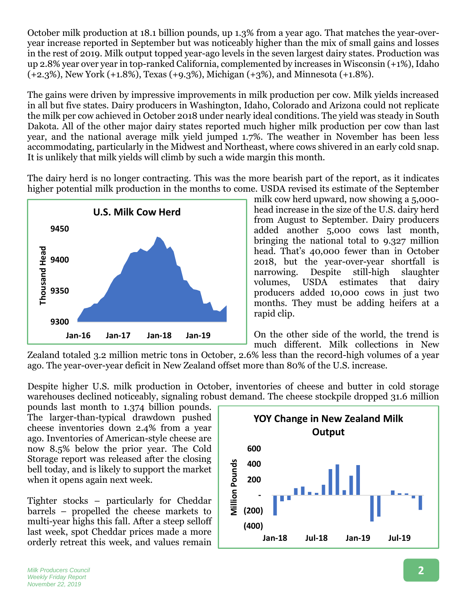October milk production at 18.1 billion pounds, up 1.3% from a year ago. That matches the year-overyear increase reported in September but was noticeably higher than the mix of small gains and losses in the rest of 2019. Milk output topped year-ago levels in the seven largest dairy states. Production was up 2.8% year over year in top-ranked California, complemented by increases in Wisconsin (+1%), Idaho (+2.3%), New York (+1.8%), Texas (+9.3%), Michigan (+3%), and Minnesota (+1.8%).

The gains were driven by impressive improvements in milk production per cow. Milk yields increased in all but five states. Dairy producers in Washington, Idaho, Colorado and Arizona could not replicate the milk per cow achieved in October 2018 under nearly ideal conditions. The yield was steady in South Dakota. All of the other major dairy states reported much higher milk production per cow than last year, and the national average milk yield jumped 1.7%. The weather in November has been less accommodating, particularly in the Midwest and Northeast, where cows shivered in an early cold snap. It is unlikely that milk yields will climb by such a wide margin this month.

The dairy herd is no longer contracting. This was the more bearish part of the report, as it indicates higher potential milk production in the months to come. USDA revised its estimate of the September



milk cow herd upward, now showing a 5,000 head increase in the size of the U.S. dairy herd from August to September. Dairy producers added another 5,000 cows last month, bringing the national total to 9.327 million head. That's 40,000 fewer than in October 2018, but the year-over-year shortfall is narrowing. Despite still-high slaughter volumes, USDA estimates that dairy producers added 10,000 cows in just two months. They must be adding heifers at a rapid clip.

On the other side of the world, the trend is much different. Milk collections in New

Zealand totaled 3.2 million metric tons in October, 2.6% less than the record-high volumes of a year ago. The year-over-year deficit in New Zealand offset more than 80% of the U.S. increase.

Despite higher U.S. milk production in October, inventories of cheese and butter in cold storage warehouses declined noticeably, signaling robust demand. The cheese stockpile dropped 31.6 million

pounds last month to 1.374 billion pounds. The larger-than-typical drawdown pushed cheese inventories down 2.4% from a year ago. Inventories of American-style cheese are now 8.5% below the prior year. The Cold Storage report was released after the closing bell today, and is likely to support the market when it opens again next week.

Tighter stocks – particularly for Cheddar barrels – propelled the cheese markets to multi-year highs this fall. After a steep selloff last week, spot Cheddar prices made a more orderly retreat this week, and values remain

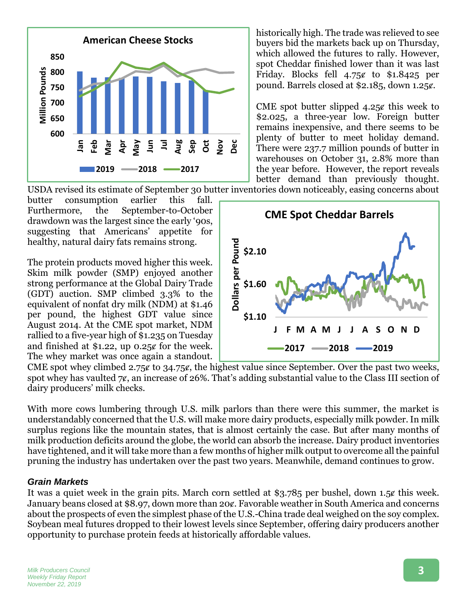

historically high. The trade was relieved to see buyers bid the markets back up on Thursday, which allowed the futures to rally. However, spot Cheddar finished lower than it was last Friday. Blocks fell  $4.75¢$  to \$1.8425 per pound. Barrels closed at \$2.185, down 1.25¢.

CME spot butter slipped  $4.25¢$  this week to \$2.025, a three-year low. Foreign butter remains inexpensive, and there seems to be plenty of butter to meet holiday demand. There were 237.7 million pounds of butter in warehouses on October 31, 2.8% more than the year before. However, the report reveals better demand than previously thought.

USDA revised its estimate of September 30 butter inventories down noticeably, easing concerns about

butter consumption earlier this fall. Furthermore, the September-to-October drawdown was the largest since the early '90s, suggesting that Americans' appetite for healthy, natural dairy fats remains strong.

The protein products moved higher this week. Skim milk powder (SMP) enjoyed another strong performance at the Global Dairy Trade (GDT) auction. SMP climbed 3.3% to the equivalent of nonfat dry milk (NDM) at \$1.46 per pound, the highest GDT value since August 2014. At the CME spot market, NDM rallied to a five-year high of \$1.235 on Tuesday and finished at  $$1.22$ , up  $0.25¢$  for the week. The whey market was once again a standout.

**CME Spot Cheddar Barrels Dollars per Pound** Dollars per Pound **\$2.10 \$1.60 \$1.10 J F M A M J J A S O N D 2017 2018 2019**

CME spot whey climbed 2.75 $\varepsilon$  to 34.75 $\varepsilon$ , the highest value since September. Over the past two weeks, spot whey has vaulted  $7\text{g}$ , an increase of 26%. That's adding substantial value to the Class III section of dairy producers' milk checks.

With more cows lumbering through U.S. milk parlors than there were this summer, the market is understandably concerned that the U.S. will make more dairy products, especially milk powder. In milk surplus regions like the mountain states, that is almost certainly the case. But after many months of milk production deficits around the globe, the world can absorb the increase. Dairy product inventories have tightened, and it will take more than a few months of higher milk output to overcome all the painful pruning the industry has undertaken over the past two years. Meanwhile, demand continues to grow.

### *Grain Markets*

It was a quiet week in the grain pits. March corn settled at \$3.785 per bushel, down 1.5 $\epsilon$  this week. January beans closed at \$8.97, down more than 20¢. Favorable weather in South America and concerns about the prospects of even the simplest phase of the U.S.-China trade deal weighed on the soy complex. Soybean meal futures dropped to their lowest levels since September, offering dairy producers another opportunity to purchase protein feeds at historically affordable values.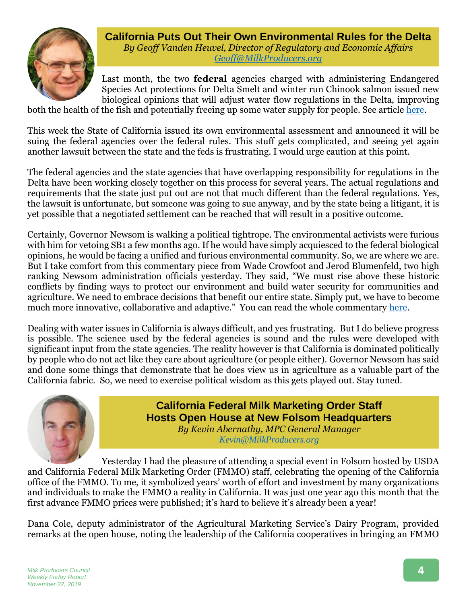

**California Puts Out Their Own Environmental Rules for the Delta** *By Geoff Vanden Heuvel, Director of Regulatory and Economic Affairs [Geoff@MilkProducers.org](mailto:Geoff@MilkProducers.org)*

Last month, the two **federal** agencies charged with administering Endangered Species Act protections for Delta Smelt and winter run Chinook salmon issued new biological opinions that will adjust water flow regulations in the Delta, improving

both the health of the fish and potentially freeing up some water supply for people. See article [here.](http://www.milkproducerscouncil.org/wp-content/uploads/newsletter_2019/2019-10-25%20MPC%20Newsletter.pdf#page=5)

This week the State of California issued its own environmental assessment and announced it will be suing the federal agencies over the federal rules. This stuff gets complicated, and seeing yet again another lawsuit between the state and the feds is frustrating. I would urge caution at this point.

The federal agencies and the state agencies that have overlapping responsibility for regulations in the Delta have been working closely together on this process for several years. The actual regulations and requirements that the state just put out are not that much different than the federal regulations. Yes, the lawsuit is unfortunate, but someone was going to sue anyway, and by the state being a litigant, it is yet possible that a negotiated settlement can be reached that will result in a positive outcome.

Certainly, Governor Newsom is walking a political tightrope. The environmental activists were furious with him for vetoing SB1 a few months ago. If he would have simply acquiesced to the federal biological opinions, he would be facing a unified and furious environmental community. So, we are where we are. But I take comfort from this commentary piece from Wade Crowfoot and Jerod Blumenfeld, two high ranking Newsom administration officials yesterday. They said, "We must rise above these historic conflicts by finding ways to protect our environment and build water security for communities and agriculture. We need to embrace decisions that benefit our entire state. Simply put, we have to become much more innovative, collaborative and adaptive." You can read the whole commentary [here.](https://calmatters.org/commentary/bay-delta/)

Dealing with water issues in California is always difficult, and yes frustrating. But I do believe progress is possible. The science used by the federal agencies is sound and the rules were developed with significant input from the state agencies. The reality however is that California is dominated politically by people who do not act like they care about agriculture (or people either). Governor Newsom has said and done some things that demonstrate that he does view us in agriculture as a valuable part of the California fabric. So, we need to exercise political wisdom as this gets played out. Stay tuned.



**California Federal Milk Marketing Order Staff Hosts Open House at New Folsom Headquarters** *By Kevin Abernathy, MPC General Manager [Kevin@MilkProducers.org](mailto:Kevin@MilkProducers.org)*

Yesterday I had the pleasure of attending a special event in Folsom hosted by USDA and California Federal Milk Marketing Order (FMMO) staff, celebrating the opening of the California office of the FMMO. To me, it symbolized years' worth of effort and investment by many organizations and individuals to make the FMMO a reality in California. It was just one year ago this month that the first advance FMMO prices were published; it's hard to believe it's already been a year!

Dana Cole, deputy administrator of the Agricultural Marketing Service's Dairy Program, provided remarks at the open house, noting the leadership of the California cooperatives in bringing an FMMO